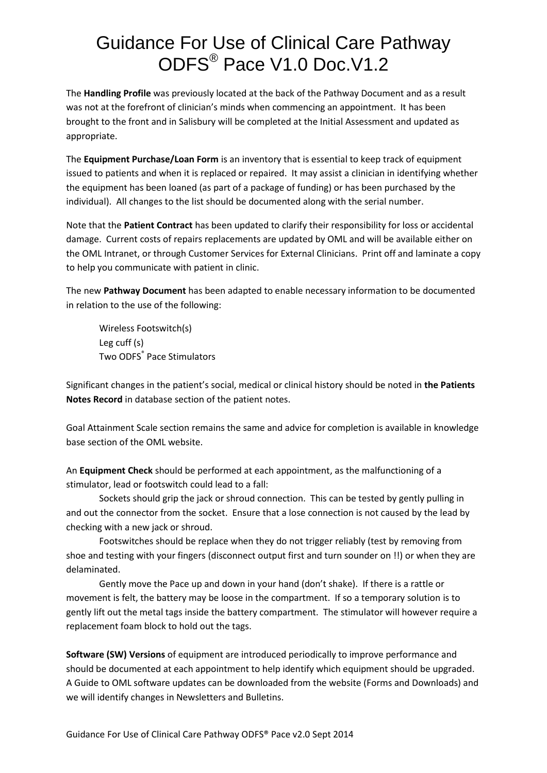## Guidance For Use of Clinical Care Pathway ODFS® Pace V1.0 Doc.V1.2

The **Handling Profile** was previously located at the back of the Pathway Document and as a result was not at the forefront of clinician's minds when commencing an appointment. It has been brought to the front and in Salisbury will be completed at the Initial Assessment and updated as appropriate.

The **Equipment Purchase/Loan Form** is an inventory that is essential to keep track of equipment issued to patients and when it is replaced or repaired. It may assist a clinician in identifying whether the equipment has been loaned (as part of a package of funding) or has been purchased by the individual). All changes to the list should be documented along with the serial number.

Note that the **Patient Contract** has been updated to clarify their responsibility for loss or accidental damage. Current costs of repairs replacements are updated by OML and will be available either on the OML Intranet, or through Customer Services for External Clinicians. Print off and laminate a copy to help you communicate with patient in clinic.

The new **Pathway Document** has been adapted to enable necessary information to be documented in relation to the use of the following:

Wireless Footswitch(s) Leg cuff (s) Two ODFS® Pace Stimulators

Significant changes in the patient's social, medical or clinical history should be noted in **the Patients Notes Record** in database section of the patient notes.

Goal Attainment Scale section remains the same and advice for completion is available in knowledge base section of the OML website.

An **Equipment Check** should be performed at each appointment, as the malfunctioning of a stimulator, lead or footswitch could lead to a fall:

Sockets should grip the jack or shroud connection. This can be tested by gently pulling in and out the connector from the socket. Ensure that a lose connection is not caused by the lead by checking with a new jack or shroud.

Footswitches should be replace when they do not trigger reliably (test by removing from shoe and testing with your fingers (disconnect output first and turn sounder on !!) or when they are delaminated.

Gently move the Pace up and down in your hand (don't shake). If there is a rattle or movement is felt, the battery may be loose in the compartment. If so a temporary solution is to gently lift out the metal tags inside the battery compartment. The stimulator will however require a replacement foam block to hold out the tags.

**Software (SW) Versions** of equipment are introduced periodically to improve performance and should be documented at each appointment to help identify which equipment should be upgraded. A Guide to OML software updates can be downloaded from the website (Forms and Downloads) and we will identify changes in Newsletters and Bulletins.